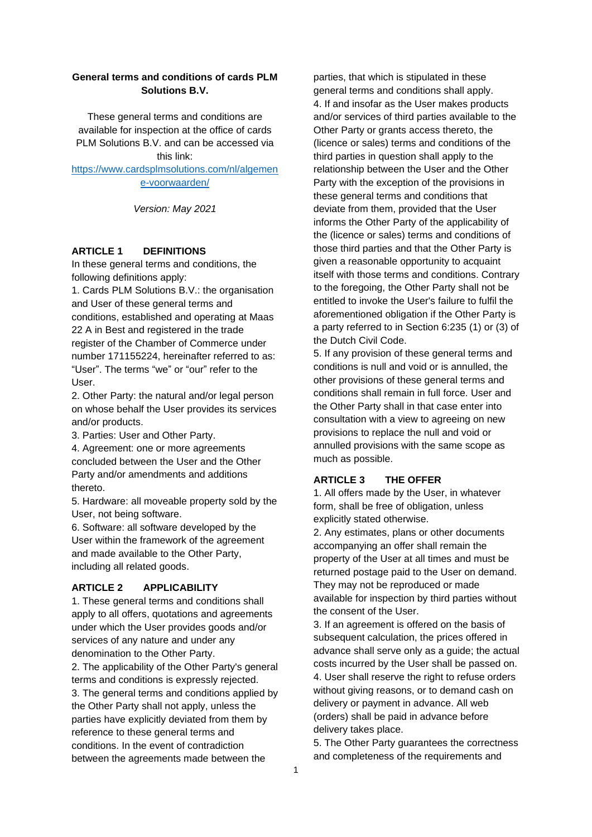### **General terms and conditions of cards PLM Solutions B.V.**

These general terms and conditions are available for inspection at the office of cards PLM Solutions B.V. and can be accessed via this link:

[https://www.cardsplmsolutions.com/nl/algemen](https://www.cardsplmsolutions.com/nl/algemene-voorwaarden/) [e-voorwaarden/](https://www.cardsplmsolutions.com/nl/algemene-voorwaarden/)

*Version: May 2021*

#### **ARTICLE 1 DEFINITIONS**

In these general terms and conditions, the following definitions apply:

1. Cards PLM Solutions B.V.: the organisation and User of these general terms and conditions, established and operating at Maas 22 A in Best and registered in the trade register of the Chamber of Commerce under number 171155224, hereinafter referred to as: "User". The terms "we" or "our" refer to the User.

2. Other Party: the natural and/or legal person on whose behalf the User provides its services and/or products.

3. Parties: User and Other Party.

4. Agreement: one or more agreements concluded between the User and the Other Party and/or amendments and additions thereto.

5. Hardware: all moveable property sold by the User, not being software.

6. Software: all software developed by the User within the framework of the agreement and made available to the Other Party, including all related goods.

## **ARTICLE 2 APPLICABILITY**

1. These general terms and conditions shall apply to all offers, quotations and agreements under which the User provides goods and/or services of any nature and under any denomination to the Other Party. 2. The applicability of the Other Party's general terms and conditions is expressly rejected. 3. The general terms and conditions applied by the Other Party shall not apply, unless the parties have explicitly deviated from them by reference to these general terms and conditions. In the event of contradiction between the agreements made between the

parties, that which is stipulated in these general terms and conditions shall apply. 4. If and insofar as the User makes products and/or services of third parties available to the Other Party or grants access thereto, the (licence or sales) terms and conditions of the third parties in question shall apply to the relationship between the User and the Other Party with the exception of the provisions in these general terms and conditions that deviate from them, provided that the User informs the Other Party of the applicability of the (licence or sales) terms and conditions of those third parties and that the Other Party is given a reasonable opportunity to acquaint itself with those terms and conditions. Contrary to the foregoing, the Other Party shall not be entitled to invoke the User's failure to fulfil the aforementioned obligation if the Other Party is a party referred to in Section 6:235 (1) or (3) of the Dutch Civil Code.

5. If any provision of these general terms and conditions is null and void or is annulled, the other provisions of these general terms and conditions shall remain in full force. User and the Other Party shall in that case enter into consultation with a view to agreeing on new provisions to replace the null and void or annulled provisions with the same scope as much as possible.

#### **ARTICLE 3 THE OFFER**

1. All offers made by the User, in whatever form, shall be free of obligation, unless explicitly stated otherwise.

2. Any estimates, plans or other documents accompanying an offer shall remain the property of the User at all times and must be returned postage paid to the User on demand. They may not be reproduced or made available for inspection by third parties without the consent of the User.

3. If an agreement is offered on the basis of subsequent calculation, the prices offered in advance shall serve only as a guide; the actual costs incurred by the User shall be passed on. 4. User shall reserve the right to refuse orders without giving reasons, or to demand cash on delivery or payment in advance. All web (orders) shall be paid in advance before delivery takes place.

5. The Other Party guarantees the correctness and completeness of the requirements and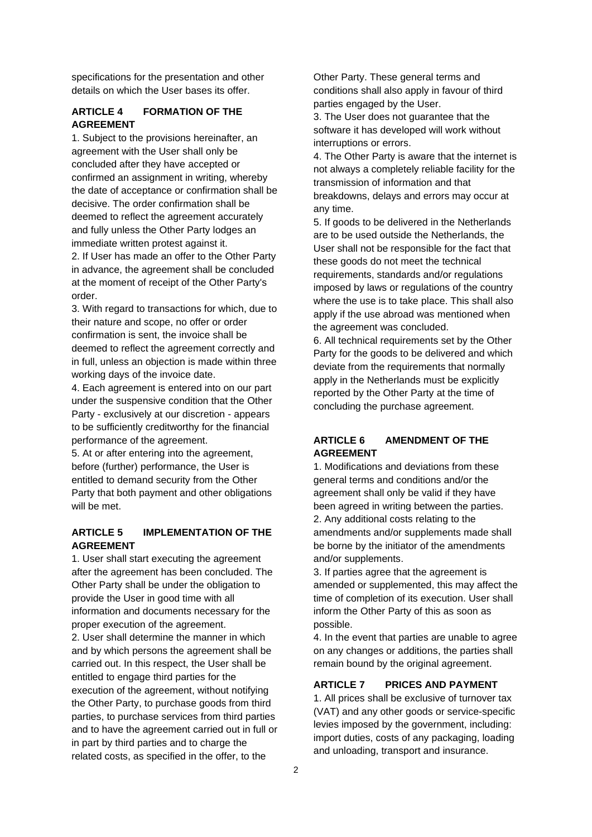specifications for the presentation and other details on which the User bases its offer.

## **ARTICLE 4 FORMATION OF THE AGREEMENT**

1. Subject to the provisions hereinafter, an agreement with the User shall only be concluded after they have accepted or confirmed an assignment in writing, whereby the date of acceptance or confirmation shall be decisive. The order confirmation shall be deemed to reflect the agreement accurately and fully unless the Other Party lodges an immediate written protest against it. 2. If User has made an offer to the Other Party

in advance, the agreement shall be concluded at the moment of receipt of the Other Party's order.

3. With regard to transactions for which, due to their nature and scope, no offer or order confirmation is sent, the invoice shall be deemed to reflect the agreement correctly and in full, unless an objection is made within three working days of the invoice date.

4. Each agreement is entered into on our part under the suspensive condition that the Other Party - exclusively at our discretion - appears to be sufficiently creditworthy for the financial performance of the agreement.

5. At or after entering into the agreement, before (further) performance, the User is entitled to demand security from the Other Party that both payment and other obligations will be met.

# **ARTICLE 5 IMPLEMENTATION OF THE AGREEMENT**

1. User shall start executing the agreement after the agreement has been concluded. The Other Party shall be under the obligation to provide the User in good time with all information and documents necessary for the proper execution of the agreement. 2. User shall determine the manner in which and by which persons the agreement shall be carried out. In this respect, the User shall be entitled to engage third parties for the execution of the agreement, without notifying the Other Party, to purchase goods from third parties, to purchase services from third parties and to have the agreement carried out in full or in part by third parties and to charge the related costs, as specified in the offer, to the

Other Party. These general terms and conditions shall also apply in favour of third parties engaged by the User.

3. The User does not guarantee that the software it has developed will work without interruptions or errors.

4. The Other Party is aware that the internet is not always a completely reliable facility for the transmission of information and that breakdowns, delays and errors may occur at any time.

5. If goods to be delivered in the Netherlands are to be used outside the Netherlands, the User shall not be responsible for the fact that these goods do not meet the technical requirements, standards and/or regulations imposed by laws or regulations of the country where the use is to take place. This shall also apply if the use abroad was mentioned when the agreement was concluded.

6. All technical requirements set by the Other Party for the goods to be delivered and which deviate from the requirements that normally apply in the Netherlands must be explicitly reported by the Other Party at the time of concluding the purchase agreement.

# **ARTICLE 6 AMENDMENT OF THE AGREEMENT**

1. Modifications and deviations from these general terms and conditions and/or the agreement shall only be valid if they have been agreed in writing between the parties. 2. Any additional costs relating to the amendments and/or supplements made shall be borne by the initiator of the amendments and/or supplements.

3. If parties agree that the agreement is amended or supplemented, this may affect the time of completion of its execution. User shall inform the Other Party of this as soon as possible.

4. In the event that parties are unable to agree on any changes or additions, the parties shall remain bound by the original agreement.

## **ARTICLE 7 PRICES AND PAYMENT**

1. All prices shall be exclusive of turnover tax (VAT) and any other goods or service-specific levies imposed by the government, including: import duties, costs of any packaging, loading and unloading, transport and insurance.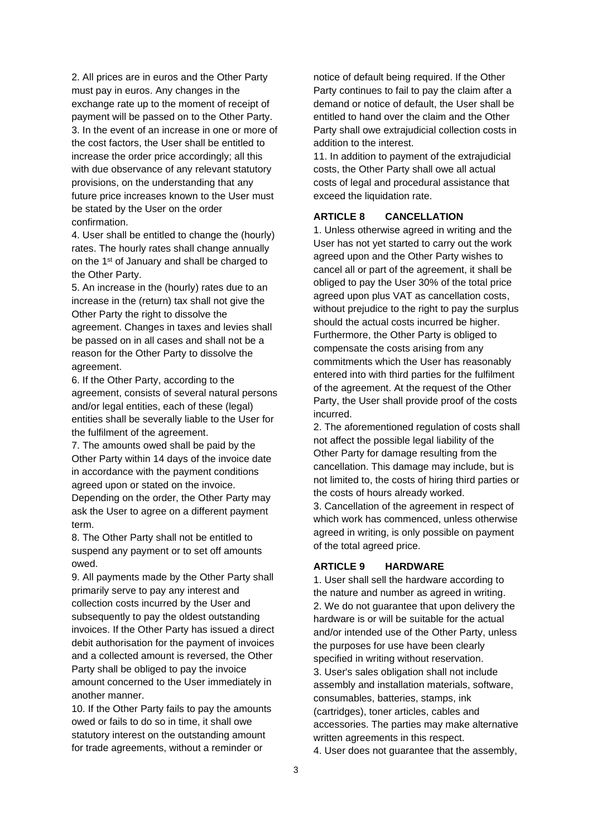2. All prices are in euros and the Other Party must pay in euros. Any changes in the exchange rate up to the moment of receipt of payment will be passed on to the Other Party. 3. In the event of an increase in one or more of the cost factors, the User shall be entitled to increase the order price accordingly; all this with due observance of any relevant statutory provisions, on the understanding that any future price increases known to the User must be stated by the User on the order confirmation.

4. User shall be entitled to change the (hourly) rates. The hourly rates shall change annually on the 1<sup>st</sup> of January and shall be charged to the Other Party.

5. An increase in the (hourly) rates due to an increase in the (return) tax shall not give the Other Party the right to dissolve the agreement. Changes in taxes and levies shall be passed on in all cases and shall not be a reason for the Other Party to dissolve the agreement.

6. If the Other Party, according to the agreement, consists of several natural persons and/or legal entities, each of these (legal) entities shall be severally liable to the User for the fulfilment of the agreement.

7. The amounts owed shall be paid by the Other Party within 14 days of the invoice date in accordance with the payment conditions agreed upon or stated on the invoice. Depending on the order, the Other Party may ask the User to agree on a different payment term.

8. The Other Party shall not be entitled to suspend any payment or to set off amounts owed.

9. All payments made by the Other Party shall primarily serve to pay any interest and collection costs incurred by the User and subsequently to pay the oldest outstanding invoices. If the Other Party has issued a direct debit authorisation for the payment of invoices and a collected amount is reversed, the Other Party shall be obliged to pay the invoice amount concerned to the User immediately in another manner.

10. If the Other Party fails to pay the amounts owed or fails to do so in time, it shall owe statutory interest on the outstanding amount for trade agreements, without a reminder or

notice of default being required. If the Other Party continues to fail to pay the claim after a demand or notice of default, the User shall be entitled to hand over the claim and the Other Party shall owe extrajudicial collection costs in addition to the interest.

11. In addition to payment of the extrajudicial costs, the Other Party shall owe all actual costs of legal and procedural assistance that exceed the liquidation rate.

### **ARTICLE 8 CANCELLATION**

1. Unless otherwise agreed in writing and the User has not yet started to carry out the work agreed upon and the Other Party wishes to cancel all or part of the agreement, it shall be obliged to pay the User 30% of the total price agreed upon plus VAT as cancellation costs, without prejudice to the right to pay the surplus should the actual costs incurred be higher. Furthermore, the Other Party is obliged to compensate the costs arising from any commitments which the User has reasonably entered into with third parties for the fulfilment of the agreement. At the request of the Other Party, the User shall provide proof of the costs incurred.

2. The aforementioned regulation of costs shall not affect the possible legal liability of the Other Party for damage resulting from the cancellation. This damage may include, but is not limited to, the costs of hiring third parties or the costs of hours already worked.

3. Cancellation of the agreement in respect of which work has commenced, unless otherwise agreed in writing, is only possible on payment of the total agreed price.

#### **ARTICLE 9 HARDWARE**

1. User shall sell the hardware according to the nature and number as agreed in writing. 2. We do not guarantee that upon delivery the hardware is or will be suitable for the actual and/or intended use of the Other Party, unless the purposes for use have been clearly specified in writing without reservation. 3. User's sales obligation shall not include assembly and installation materials, software, consumables, batteries, stamps, ink (cartridges), toner articles, cables and accessories. The parties may make alternative written agreements in this respect.

4. User does not guarantee that the assembly,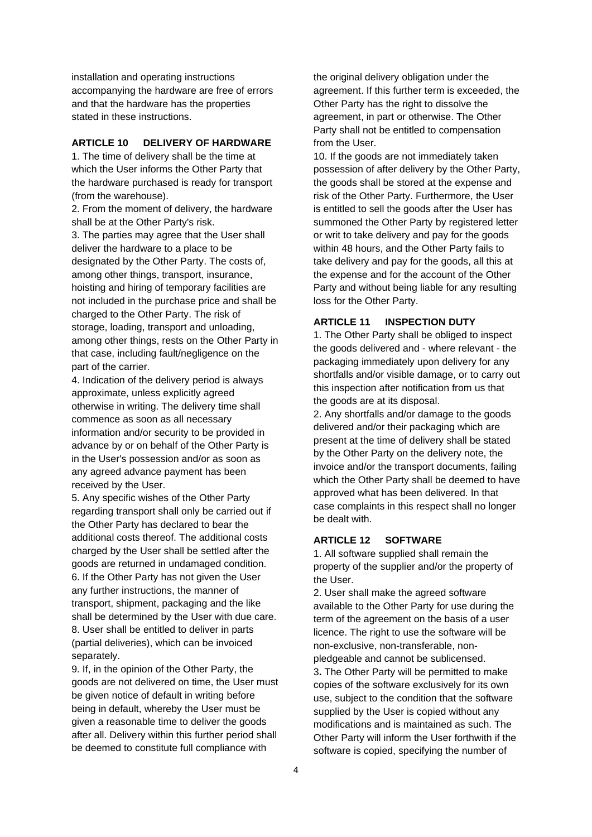installation and operating instructions accompanying the hardware are free of errors and that the hardware has the properties stated in these instructions.

#### **ARTICLE 10 DELIVERY OF HARDWARE**

1. The time of delivery shall be the time at which the User informs the Other Party that the hardware purchased is ready for transport (from the warehouse).

2. From the moment of delivery, the hardware shall be at the Other Party's risk.

3. The parties may agree that the User shall deliver the hardware to a place to be designated by the Other Party. The costs of, among other things, transport, insurance, hoisting and hiring of temporary facilities are not included in the purchase price and shall be charged to the Other Party. The risk of storage, loading, transport and unloading, among other things, rests on the Other Party in that case, including fault/negligence on the part of the carrier.

4. Indication of the delivery period is always approximate, unless explicitly agreed otherwise in writing. The delivery time shall commence as soon as all necessary information and/or security to be provided in advance by or on behalf of the Other Party is in the User's possession and/or as soon as any agreed advance payment has been received by the User.

5. Any specific wishes of the Other Party regarding transport shall only be carried out if the Other Party has declared to bear the additional costs thereof. The additional costs charged by the User shall be settled after the goods are returned in undamaged condition. 6. If the Other Party has not given the User any further instructions, the manner of transport, shipment, packaging and the like shall be determined by the User with due care. 8. User shall be entitled to deliver in parts (partial deliveries), which can be invoiced separately.

9. If, in the opinion of the Other Party, the goods are not delivered on time, the User must be given notice of default in writing before being in default, whereby the User must be given a reasonable time to deliver the goods after all. Delivery within this further period shall be deemed to constitute full compliance with

the original delivery obligation under the agreement. If this further term is exceeded, the Other Party has the right to dissolve the agreement, in part or otherwise. The Other Party shall not be entitled to compensation from the User.

10. If the goods are not immediately taken possession of after delivery by the Other Party, the goods shall be stored at the expense and risk of the Other Party. Furthermore, the User is entitled to sell the goods after the User has summoned the Other Party by registered letter or writ to take delivery and pay for the goods within 48 hours, and the Other Party fails to take delivery and pay for the goods, all this at the expense and for the account of the Other Party and without being liable for any resulting loss for the Other Party.

# **ARTICLE 11 INSPECTION DUTY**

1. The Other Party shall be obliged to inspect the goods delivered and - where relevant - the packaging immediately upon delivery for any shortfalls and/or visible damage, or to carry out this inspection after notification from us that the goods are at its disposal.

2. Any shortfalls and/or damage to the goods delivered and/or their packaging which are present at the time of delivery shall be stated by the Other Party on the delivery note, the invoice and/or the transport documents, failing which the Other Party shall be deemed to have approved what has been delivered. In that case complaints in this respect shall no longer be dealt with.

# **ARTICLE 12 SOFTWARE**

1. All software supplied shall remain the property of the supplier and/or the property of the User.

2. User shall make the agreed software available to the Other Party for use during the term of the agreement on the basis of a user licence. The right to use the software will be non-exclusive, non-transferable, nonpledgeable and cannot be sublicensed. 3**.** The Other Party will be permitted to make copies of the software exclusively for its own use, subject to the condition that the software supplied by the User is copied without any modifications and is maintained as such. The Other Party will inform the User forthwith if the software is copied, specifying the number of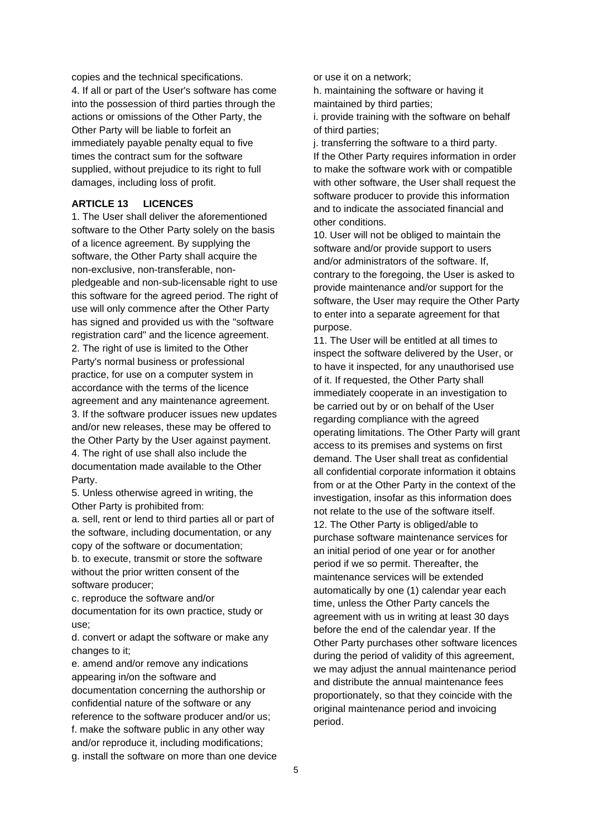copies and the technical specifications. 4. If all or part of the User's software has come into the possession of third parties through the actions or omissions of the Other Party, the Other Party will be liable to forfeit an immediately payable penalty equal to five times the contract sum for the software supplied, without prejudice to its right to full damages, including loss of profit.

## **ARTICLE 13 LICENCES**

1. The User shall deliver the aforementioned software to the Other Party solely on the basis of a licence agreement. By supplying the software, the Other Party shall acquire the non-exclusive, non-transferable, nonpledgeable and non-sub-licensable right to use this software for the agreed period. The right of use will only commence after the Other Party has signed and provided us with the "software registration card" and the licence agreement. 2. The right of use is limited to the Other Party's normal business or professional practice, for use on a computer system in accordance with the terms of the licence agreement and any maintenance agreement. 3. If the software producer issues new updates and/or new releases, these may be offered to the Other Party by the User against payment. 4. The right of use shall also include the documentation made available to the Other Party.

5. Unless otherwise agreed in writing, the Other Party is prohibited from:

a. sell, rent or lend to third parties all or part of the software, including documentation, or any copy of the software or documentation; b. to execute, transmit or store the software without the prior written consent of the software producer;

c. reproduce the software and/or documentation for its own practice, study or use;

d. convert or adapt the software or make any changes to it;

e. amend and/or remove any indications appearing in/on the software and documentation concerning the authorship or confidential nature of the software or any reference to the software producer and/or us; f. make the software public in any other way and/or reproduce it, including modifications; g. install the software on more than one device or use it on a network;

h. maintaining the software or having it maintained by third parties;

i. provide training with the software on behalf of third parties;

j. transferring the software to a third party. If the Other Party requires information in order to make the software work with or compatible with other software, the User shall request the software producer to provide this information and to indicate the associated financial and other conditions.

10. User will not be obliged to maintain the software and/or provide support to users and/or administrators of the software. If, contrary to the foregoing, the User is asked to provide maintenance and/or support for the software, the User may require the Other Party to enter into a separate agreement for that purpose.

11. The User will be entitled at all times to inspect the software delivered by the User, or to have it inspected, for any unauthorised use of it. If requested, the Other Party shall immediately cooperate in an investigation to be carried out by or on behalf of the User regarding compliance with the agreed operating limitations. The Other Party will grant access to its premises and systems on first demand. The User shall treat as confidential all confidential corporate information it obtains from or at the Other Party in the context of the investigation, insofar as this information does not relate to the use of the software itself. 12. The Other Party is obliged/able to purchase software maintenance services for an initial period of one year or for another period if we so permit. Thereafter, the maintenance services will be extended automatically by one (1) calendar year each time, unless the Other Party cancels the agreement with us in writing at least 30 days before the end of the calendar year. If the Other Party purchases other software licences during the period of validity of this agreement, we may adjust the annual maintenance period and distribute the annual maintenance fees proportionately, so that they coincide with the original maintenance period and invoicing period.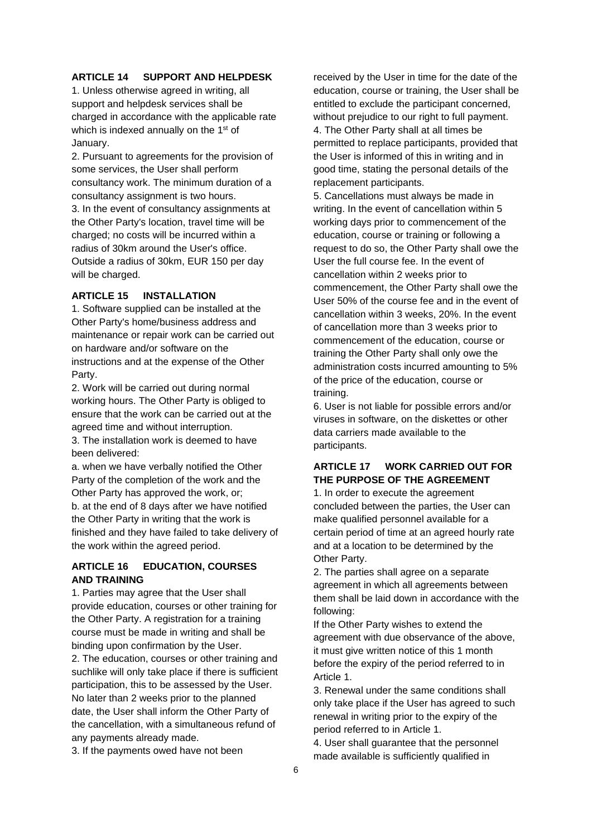### **ARTICLE 14 SUPPORT AND HELPDESK**

1. Unless otherwise agreed in writing, all support and helpdesk services shall be charged in accordance with the applicable rate which is indexed annually on the 1<sup>st</sup> of January.

2. Pursuant to agreements for the provision of some services, the User shall perform consultancy work. The minimum duration of a consultancy assignment is two hours.

3. In the event of consultancy assignments at the Other Party's location, travel time will be charged; no costs will be incurred within a radius of 30km around the User's office. Outside a radius of 30km, EUR 150 per day will be charged.

### **ARTICLE 15 INSTALLATION**

1. Software supplied can be installed at the Other Party's home/business address and maintenance or repair work can be carried out on hardware and/or software on the instructions and at the expense of the Other Party.

2. Work will be carried out during normal working hours. The Other Party is obliged to ensure that the work can be carried out at the agreed time and without interruption.

3. The installation work is deemed to have been delivered:

a. when we have verbally notified the Other Party of the completion of the work and the Other Party has approved the work, or; b. at the end of 8 days after we have notified the Other Party in writing that the work is finished and they have failed to take delivery of the work within the agreed period.

## **ARTICLE 16 EDUCATION, COURSES AND TRAINING**

1. Parties may agree that the User shall provide education, courses or other training for the Other Party. A registration for a training course must be made in writing and shall be binding upon confirmation by the User. 2. The education, courses or other training and suchlike will only take place if there is sufficient participation, this to be assessed by the User. No later than 2 weeks prior to the planned date, the User shall inform the Other Party of the cancellation, with a simultaneous refund of any payments already made.

3. If the payments owed have not been

received by the User in time for the date of the education, course or training, the User shall be entitled to exclude the participant concerned, without prejudice to our right to full payment. 4. The Other Party shall at all times be permitted to replace participants, provided that the User is informed of this in writing and in good time, stating the personal details of the replacement participants.

5. Cancellations must always be made in writing. In the event of cancellation within 5 working days prior to commencement of the education, course or training or following a request to do so, the Other Party shall owe the User the full course fee. In the event of cancellation within 2 weeks prior to commencement, the Other Party shall owe the User 50% of the course fee and in the event of cancellation within 3 weeks, 20%. In the event of cancellation more than 3 weeks prior to commencement of the education, course or training the Other Party shall only owe the administration costs incurred amounting to 5% of the price of the education, course or training.

6. User is not liable for possible errors and/or viruses in software, on the diskettes or other data carriers made available to the participants.

# **ARTICLE 17 WORK CARRIED OUT FOR THE PURPOSE OF THE AGREEMENT**

1. In order to execute the agreement concluded between the parties, the User can make qualified personnel available for a certain period of time at an agreed hourly rate and at a location to be determined by the Other Party.

2. The parties shall agree on a separate agreement in which all agreements between them shall be laid down in accordance with the following:

If the Other Party wishes to extend the agreement with due observance of the above, it must give written notice of this 1 month before the expiry of the period referred to in Article 1.

3. Renewal under the same conditions shall only take place if the User has agreed to such renewal in writing prior to the expiry of the period referred to in Article 1.

4. User shall guarantee that the personnel made available is sufficiently qualified in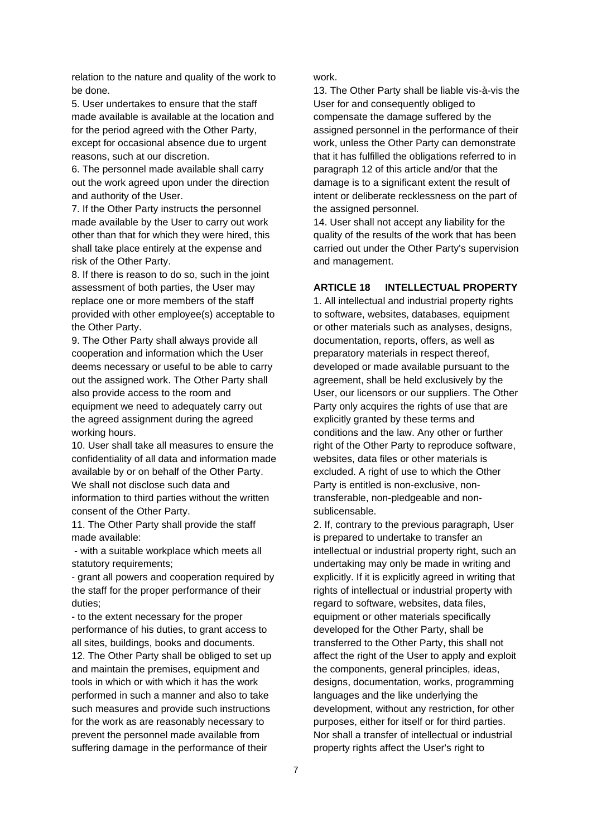relation to the nature and quality of the work to be done.

5. User undertakes to ensure that the staff made available is available at the location and for the period agreed with the Other Party, except for occasional absence due to urgent reasons, such at our discretion.

6. The personnel made available shall carry out the work agreed upon under the direction and authority of the User.

7. If the Other Party instructs the personnel made available by the User to carry out work other than that for which they were hired, this shall take place entirely at the expense and risk of the Other Party.

8. If there is reason to do so, such in the joint assessment of both parties, the User may replace one or more members of the staff provided with other employee(s) acceptable to the Other Party.

9. The Other Party shall always provide all cooperation and information which the User deems necessary or useful to be able to carry out the assigned work. The Other Party shall also provide access to the room and equipment we need to adequately carry out the agreed assignment during the agreed working hours.

10. User shall take all measures to ensure the confidentiality of all data and information made available by or on behalf of the Other Party. We shall not disclose such data and information to third parties without the written

consent of the Other Party. 11. The Other Party shall provide the staff made available:

- with a suitable workplace which meets all statutory requirements;

- grant all powers and cooperation required by the staff for the proper performance of their duties;

- to the extent necessary for the proper performance of his duties, to grant access to all sites, buildings, books and documents. 12. The Other Party shall be obliged to set up and maintain the premises, equipment and tools in which or with which it has the work performed in such a manner and also to take such measures and provide such instructions for the work as are reasonably necessary to prevent the personnel made available from suffering damage in the performance of their

work.

13. The Other Party shall be liable vis-à-vis the User for and consequently obliged to compensate the damage suffered by the assigned personnel in the performance of their work, unless the Other Party can demonstrate that it has fulfilled the obligations referred to in paragraph 12 of this article and/or that the damage is to a significant extent the result of intent or deliberate recklessness on the part of the assigned personnel.

14. User shall not accept any liability for the quality of the results of the work that has been carried out under the Other Party's supervision and management.

# **ARTICLE 18 INTELLECTUAL PROPERTY**

1. All intellectual and industrial property rights to software, websites, databases, equipment or other materials such as analyses, designs, documentation, reports, offers, as well as preparatory materials in respect thereof, developed or made available pursuant to the agreement, shall be held exclusively by the User, our licensors or our suppliers. The Other Party only acquires the rights of use that are explicitly granted by these terms and conditions and the law. Any other or further right of the Other Party to reproduce software, websites, data files or other materials is excluded. A right of use to which the Other Party is entitled is non-exclusive, nontransferable, non-pledgeable and nonsublicensable.

2. If, contrary to the previous paragraph, User is prepared to undertake to transfer an intellectual or industrial property right, such an undertaking may only be made in writing and explicitly. If it is explicitly agreed in writing that rights of intellectual or industrial property with regard to software, websites, data files, equipment or other materials specifically developed for the Other Party, shall be transferred to the Other Party, this shall not affect the right of the User to apply and exploit the components, general principles, ideas, designs, documentation, works, programming languages and the like underlying the development, without any restriction, for other purposes, either for itself or for third parties. Nor shall a transfer of intellectual or industrial property rights affect the User's right to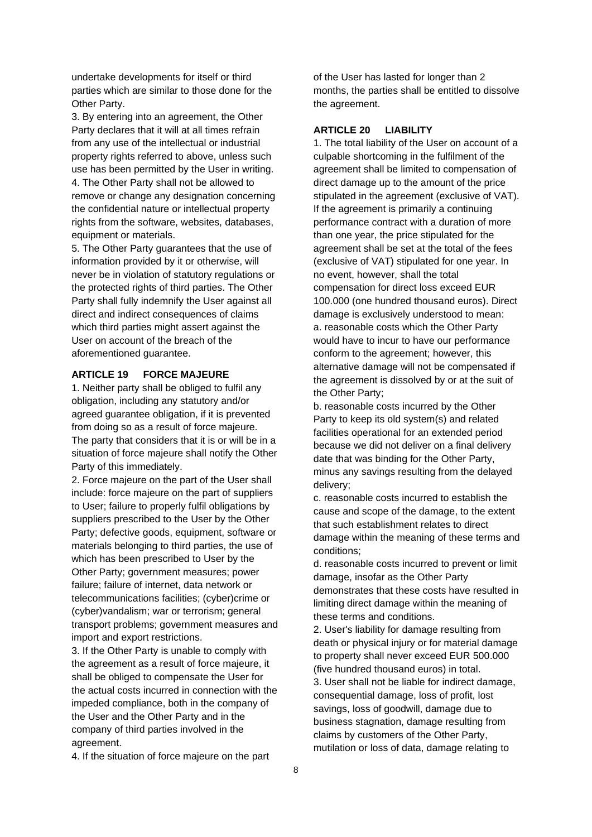undertake developments for itself or third parties which are similar to those done for the Other Party.

3. By entering into an agreement, the Other Party declares that it will at all times refrain from any use of the intellectual or industrial property rights referred to above, unless such use has been permitted by the User in writing. 4. The Other Party shall not be allowed to remove or change any designation concerning the confidential nature or intellectual property rights from the software, websites, databases, equipment or materials.

5. The Other Party guarantees that the use of information provided by it or otherwise, will never be in violation of statutory regulations or the protected rights of third parties. The Other Party shall fully indemnify the User against all direct and indirect consequences of claims which third parties might assert against the User on account of the breach of the aforementioned guarantee.

# **ARTICLE 19 FORCE MAJEURE**

1. Neither party shall be obliged to fulfil any obligation, including any statutory and/or agreed guarantee obligation, if it is prevented from doing so as a result of force majeure. The party that considers that it is or will be in a situation of force majeure shall notify the Other Party of this immediately.

2. Force majeure on the part of the User shall include: force majeure on the part of suppliers to User; failure to properly fulfil obligations by suppliers prescribed to the User by the Other Party; defective goods, equipment, software or materials belonging to third parties, the use of which has been prescribed to User by the Other Party; government measures; power failure; failure of internet, data network or telecommunications facilities; (cyber)crime or (cyber)vandalism; war or terrorism; general transport problems; government measures and import and export restrictions.

3. If the Other Party is unable to comply with the agreement as a result of force majeure, it shall be obliged to compensate the User for the actual costs incurred in connection with the impeded compliance, both in the company of the User and the Other Party and in the company of third parties involved in the agreement.

4. If the situation of force majeure on the part

of the User has lasted for longer than 2 months, the parties shall be entitled to dissolve the agreement.

### **ARTICLE 20 LIABILITY**

1. The total liability of the User on account of a culpable shortcoming in the fulfilment of the agreement shall be limited to compensation of direct damage up to the amount of the price stipulated in the agreement (exclusive of VAT). If the agreement is primarily a continuing performance contract with a duration of more than one year, the price stipulated for the agreement shall be set at the total of the fees (exclusive of VAT) stipulated for one year. In no event, however, shall the total compensation for direct loss exceed EUR 100.000 (one hundred thousand euros). Direct damage is exclusively understood to mean: a. reasonable costs which the Other Party would have to incur to have our performance conform to the agreement; however, this alternative damage will not be compensated if the agreement is dissolved by or at the suit of the Other Party;

b. reasonable costs incurred by the Other Party to keep its old system(s) and related facilities operational for an extended period because we did not deliver on a final delivery date that was binding for the Other Party, minus any savings resulting from the delayed delivery;

c. reasonable costs incurred to establish the cause and scope of the damage, to the extent that such establishment relates to direct damage within the meaning of these terms and conditions;

d. reasonable costs incurred to prevent or limit damage, insofar as the Other Party demonstrates that these costs have resulted in limiting direct damage within the meaning of these terms and conditions.

2. User's liability for damage resulting from death or physical injury or for material damage to property shall never exceed EUR 500.000 (five hundred thousand euros) in total. 3. User shall not be liable for indirect damage, consequential damage, loss of profit, lost savings, loss of goodwill, damage due to business stagnation, damage resulting from claims by customers of the Other Party, mutilation or loss of data, damage relating to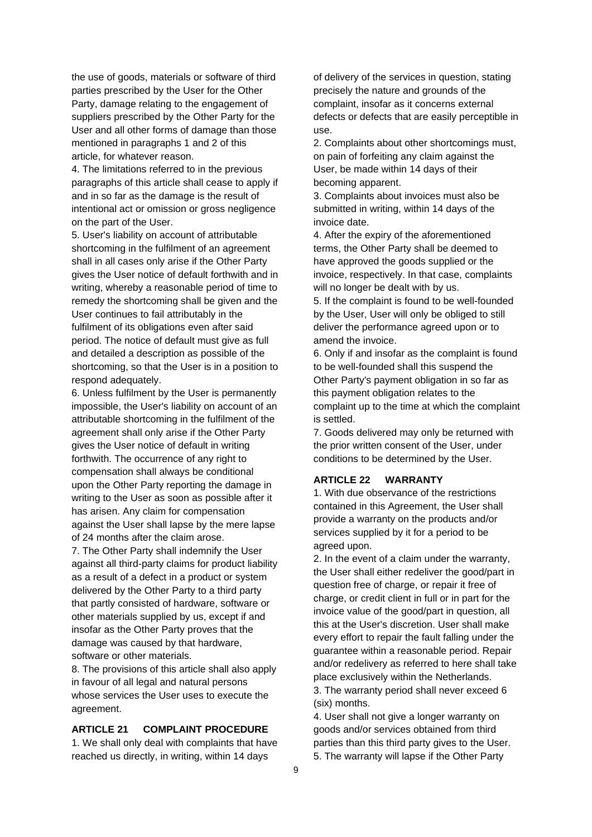the use of goods, materials or software of third parties prescribed by the User for the Other Party, damage relating to the engagement of suppliers prescribed by the Other Party for the User and all other forms of damage than those mentioned in paragraphs 1 and 2 of this article, for whatever reason.

4. The limitations referred to in the previous paragraphs of this article shall cease to apply if and in so far as the damage is the result of intentional act or omission or gross negligence on the part of the User.

5. User's liability on account of attributable shortcoming in the fulfilment of an agreement shall in all cases only arise if the Other Party gives the User notice of default forthwith and in writing, whereby a reasonable period of time to remedy the shortcoming shall be given and the User continues to fail attributably in the fulfilment of its obligations even after said period. The notice of default must give as full and detailed a description as possible of the shortcoming, so that the User is in a position to respond adequately.

6. Unless fulfilment by the User is permanently impossible, the User's liability on account of an attributable shortcoming in the fulfilment of the agreement shall only arise if the Other Party gives the User notice of default in writing forthwith. The occurrence of any right to compensation shall always be conditional upon the Other Party reporting the damage in writing to the User as soon as possible after it has arisen. Any claim for compensation against the User shall lapse by the mere lapse of 24 months after the claim arose.

7. The Other Party shall indemnify the User against all third-party claims for product liability as a result of a defect in a product or system delivered by the Other Party to a third party that partly consisted of hardware, software or other materials supplied by us, except if and insofar as the Other Party proves that the damage was caused by that hardware, software or other materials.

8. The provisions of this article shall also apply in favour of all legal and natural persons whose services the User uses to execute the agreement.

### **ARTICLE 21 COMPLAINT PROCEDURE**

1. We shall only deal with complaints that have reached us directly, in writing, within 14 days

of delivery of the services in question, stating precisely the nature and grounds of the complaint, insofar as it concerns external defects or defects that are easily perceptible in use.

2. Complaints about other shortcomings must, on pain of forfeiting any claim against the User, be made within 14 days of their becoming apparent.

3. Complaints about invoices must also be submitted in writing, within 14 days of the invoice date.

4. After the expiry of the aforementioned terms, the Other Party shall be deemed to have approved the goods supplied or the invoice, respectively. In that case, complaints will no longer be dealt with by us.

5. If the complaint is found to be well-founded by the User, User will only be obliged to still deliver the performance agreed upon or to amend the invoice.

6. Only if and insofar as the complaint is found to be well-founded shall this suspend the Other Party's payment obligation in so far as this payment obligation relates to the complaint up to the time at which the complaint is settled.

7. Goods delivered may only be returned with the prior written consent of the User, under conditions to be determined by the User.

### **ARTICLE 22 WARRANTY**

1. With due observance of the restrictions contained in this Agreement, the User shall provide a warranty on the products and/or services supplied by it for a period to be agreed upon.

2. In the event of a claim under the warranty, the User shall either redeliver the good/part in question free of charge, or repair it free of charge, or credit client in full or in part for the invoice value of the good/part in question, all this at the User's discretion. User shall make every effort to repair the fault falling under the guarantee within a reasonable period. Repair and/or redelivery as referred to here shall take place exclusively within the Netherlands. 3. The warranty period shall never exceed 6

(six) months.

4. User shall not give a longer warranty on goods and/or services obtained from third parties than this third party gives to the User. 5. The warranty will lapse if the Other Party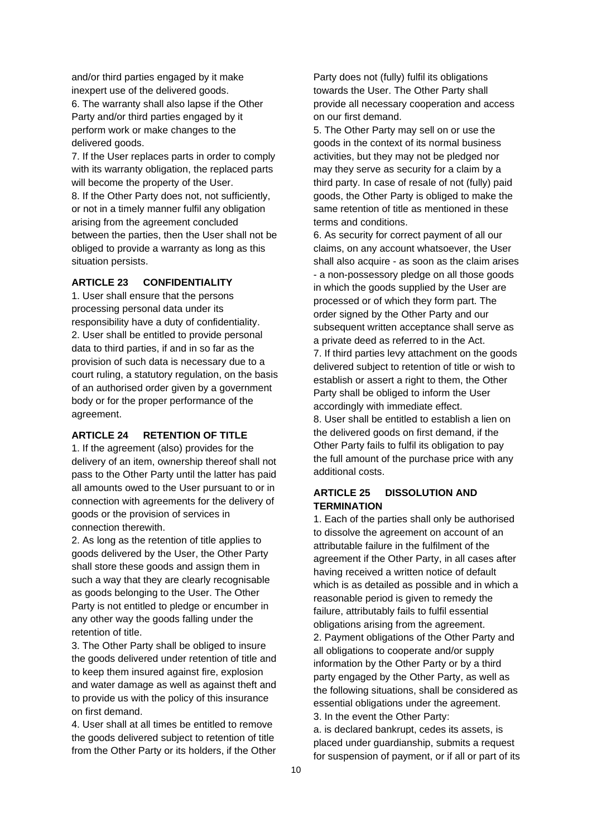and/or third parties engaged by it make inexpert use of the delivered goods.

6. The warranty shall also lapse if the Other Party and/or third parties engaged by it perform work or make changes to the delivered goods.

7. If the User replaces parts in order to comply with its warranty obligation, the replaced parts will become the property of the User. 8. If the Other Party does not, not sufficiently, or not in a timely manner fulfil any obligation arising from the agreement concluded between the parties, then the User shall not be obliged to provide a warranty as long as this situation persists.

## **ARTICLE 23 CONFIDENTIALITY**

1. User shall ensure that the persons processing personal data under its responsibility have a duty of confidentiality. 2. User shall be entitled to provide personal data to third parties, if and in so far as the provision of such data is necessary due to a court ruling, a statutory regulation, on the basis of an authorised order given by a government body or for the proper performance of the agreement.

#### **ARTICLE 24 RETENTION OF TITLE**

1. If the agreement (also) provides for the delivery of an item, ownership thereof shall not pass to the Other Party until the latter has paid all amounts owed to the User pursuant to or in connection with agreements for the delivery of goods or the provision of services in connection therewith.

2. As long as the retention of title applies to goods delivered by the User, the Other Party shall store these goods and assign them in such a way that they are clearly recognisable as goods belonging to the User. The Other Party is not entitled to pledge or encumber in any other way the goods falling under the retention of title.

3. The Other Party shall be obliged to insure the goods delivered under retention of title and to keep them insured against fire, explosion and water damage as well as against theft and to provide us with the policy of this insurance on first demand.

4. User shall at all times be entitled to remove the goods delivered subject to retention of title from the Other Party or its holders, if the Other

Party does not (fully) fulfil its obligations towards the User. The Other Party shall provide all necessary cooperation and access on our first demand.

5. The Other Party may sell on or use the goods in the context of its normal business activities, but they may not be pledged nor may they serve as security for a claim by a third party. In case of resale of not (fully) paid goods, the Other Party is obliged to make the same retention of title as mentioned in these terms and conditions.

6. As security for correct payment of all our claims, on any account whatsoever, the User shall also acquire - as soon as the claim arises - a non-possessory pledge on all those goods in which the goods supplied by the User are processed or of which they form part. The order signed by the Other Party and our subsequent written acceptance shall serve as a private deed as referred to in the Act.

7. If third parties levy attachment on the goods delivered subject to retention of title or wish to establish or assert a right to them, the Other Party shall be obliged to inform the User accordingly with immediate effect.

8. User shall be entitled to establish a lien on the delivered goods on first demand, if the Other Party fails to fulfil its obligation to pay the full amount of the purchase price with any additional costs.

## **ARTICLE 25 DISSOLUTION AND TERMINATION**

1. Each of the parties shall only be authorised to dissolve the agreement on account of an attributable failure in the fulfilment of the agreement if the Other Party, in all cases after having received a written notice of default which is as detailed as possible and in which a reasonable period is given to remedy the failure, attributably fails to fulfil essential obligations arising from the agreement. 2. Payment obligations of the Other Party and all obligations to cooperate and/or supply information by the Other Party or by a third party engaged by the Other Party, as well as the following situations, shall be considered as essential obligations under the agreement. 3. In the event the Other Party:

a. is declared bankrupt, cedes its assets, is placed under guardianship, submits a request for suspension of payment, or if all or part of its